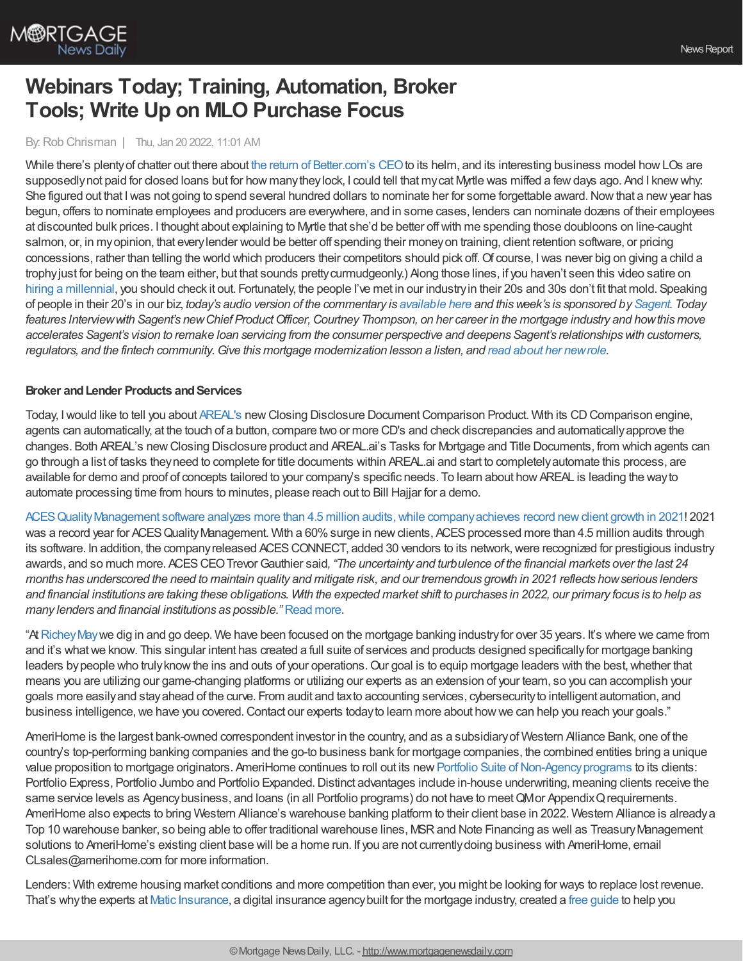

# **Webinars Today; Training, Automation, Broker Tools; Write Up on MLO Purchase Focus**

## By: Rob Chrisman | Thu, Jan 20 2022, 11:01 AM

While there's plenty of chatter out there about the return of [Better.com's](https://www.cnn.com/2022/01/19/tech/vishal-garg-better-ceo-returns/index.html) CEO to its helm, and its interesting business model how LOs are supposedlynot paid for closed loans but for how manytheylock, I could tell that mycat Myrtle was miffed a fewdays ago. And I knewwhy: She figured out that I was not going to spend several hundred dollars to nominate her for some forgettable award. Now that a new year has begun, offers to nominate employees and producers are everywhere, and in some cases, lenders can nominate dozens of their employees at discounted bulk prices. I thought about explaining to Myrtle that she'd be better offwith me spending those doubloons on line-caught salmon, or, in myopinion, that everylender would be better off spending their moneyon training, client retention software, or pricing concessions, rather than telling the world which producers their competitors should pick off.Of course, Iwas never big on giving a child a trophyjust for being on the team either, but that sounds prettycurmudgeonly.) Along those lines, if you haven't seen this video satire on hiring a [millennial](https://biggeekdad.com/2017/12/hiring-a-millennial/), you should check it out. Fortunately, the people I've met in our industry in their 20s and 30s don't fit that mold. Speaking of people in their 20's in our biz, today's audio version of the commentary is [available](https://linktr.ee/dailymortgagenews) here and this week's is sponsored by [Sagent](https://hubs.li/Q012bM3G0). Today features Interview with Sagent's new Chief Product Officer, Courtney Thompson, on her career in the mortgage industry and how this move accelerates Sagent's vision to remake loan servicing from the consumer perspective and deepens Sagent's relationships with customers, regulators, and the fintech community. Give this mortgage modernization lesson a listen, and read about her new role.

## **Broker** and Lender Products and Services

Today, I would like to tell you about [AREAL's](http://areal.ai) new Closing Disclosure Document Comparison Product. With its CD Comparison engine, agents can automatically, at the touch of a button, compare two or more CD's and check discrepancies and automaticallyapprove the changes. Both AREAL's newClosing Disclosure product and AREAL.ai's Tasks for Mortgage and Title Documents, from which agents can go through a list of tasks theyneed to complete for title documents within AREAL.ai and start to completelyautomate this process, are available for demo and proof of concepts tailored to your company's specific needs. To learn about howAREAL is leading the wayto automate processing time from hours to minutes, please reach out to Bill Hajjar for a demo.

ACES Quality Management software analyzes more than 4.5 million audits, while company achieves record new client growth in 2021! 2021 was a record year for ACES Quality Management. With a 60% surge in new clients, ACES processed more than 4.5 million audits through its software. In addition, the company released ACES CONNECT, added 30 vendors to its network, were recognized for prestigious industry awards, and so much more. ACESCEOTrevorGauthier said*, "The uncertainty and turbulence of the financial markets over the last 24* months has underscored the need to maintain quality and mitigate risk, and our tremendous growth in 2021 reflects how serious lenders and financial institutions are taking these obligations. With the expected market shift to purchases in 2022, our primary focus is to help as *many lenders and financial institutions as possible."* [Read](https://bit.ly/3HZTTVP) more.

"At Richey May we dig in and go deep. We have been focused on the mortgage banking industry for over 35 years. It's where we came from and it's what we know. This singular intent has created a full suite of services and products designed specifically for mortgage banking leaders by people who truly know the ins and outs of your operations. Our goal is to equip mortgage leaders with the best, whether that means you are utilizing our game-changing platforms or utilizing our experts as an extension of your team, so you can accomplish your goals more easilyand stayahead of the curve. From audit and taxto accounting services, cybersecurityto intelligent automation, and business intelligence, we have you covered. Contact our experts today to learn more about how we can help you reach your goals."

AmeriHome is the largest bank-owned correspondent investor in the country, and as a subsidiaryof Western Alliance Bank, one of the country's top-performing banking companies and the go-to business bank for mortgage companies, the combined entities bring a unique value proposition to mortgage originators. AmeriHome continues to roll out its new Portfolio Suite of Non-Agency programs to its clients: Portfolio Express, Portfolio Jumbo and Portfolio Expanded. Distinct advantages include in-house underwriting, meaning clients receive the same service levels as Agency business, and loans (in all Portfolio programs) do not have to meet QMor Appendix Q requirements. AmeriHome also expects to bring Western Alliance's warehouse banking platform to their client base in 2022. Western Alliance is alreadya Top 10 warehouse banker, so being able to offer traditional warehouse lines, MSRand Note Financing as well as TreasuryManagement solutions to AmeriHome's existing client base will be a home run. If you are not currentlydoing business with AmeriHome, email CLsales@amerihome.com for more information.

Lenders: With extreme housing market conditions and more competition than ever, you might be looking for ways to replace lost revenue. That's whythe experts at Matic [Insurance](https://matic.com/partners/?utm_source=ad&utm_medium=paid&utm_campaign=rob+chrisman), a digital insurance agencybuilt for the mortgage industry, created a free [guide](https://matic.com/sharpen-your-competitive-edge-guide/?utm_source=ad&utm_medium=paid&utm_campaign=rob%20chrisman%20commentary) to help you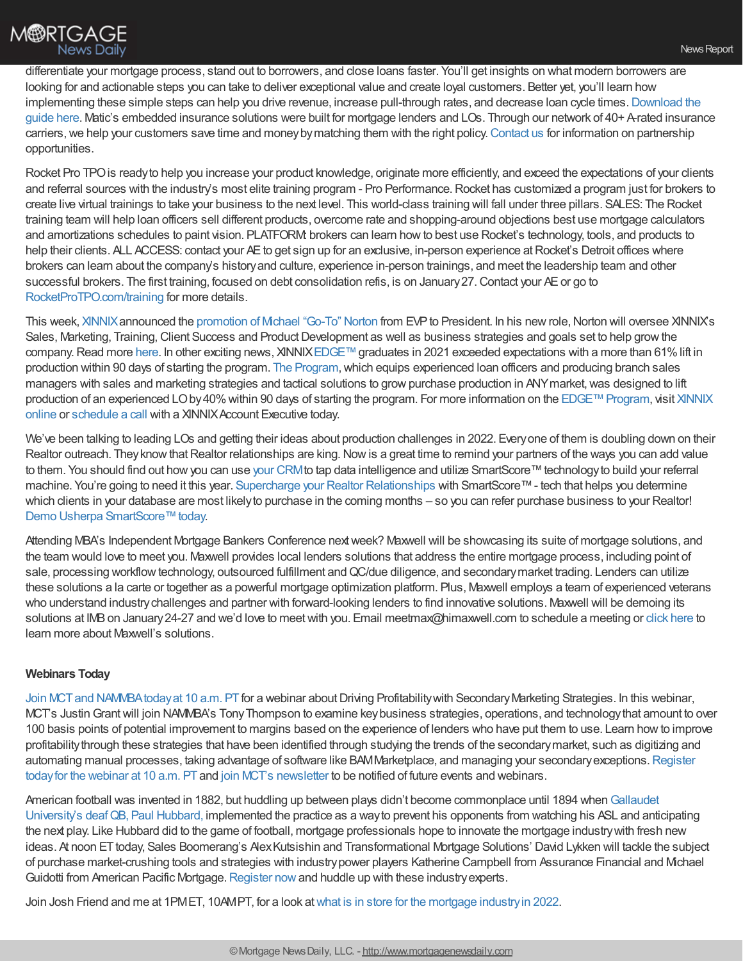

differentiate your mortgage process, stand out to borrowers, and close loans faster. You'll get insights on what modern borrowers are looking for and actionable steps you can take to deliver exceptional value and create loyal customers. Better yet, you'll learn how implementing these simple steps can help you drive revenue, increase pull-through rates, and decrease loan cycle times. Download the guide here. Matic's embedded insurance solutions were built for mortgage lenders and LOs. Through our network of 40+ A-rated insurance carriers, we help your customers save time and money by matching them with the right policy. Contact us for information on partnership opportunities.

Rocket Pro TPO is ready to help you increase your product knowledge, originate more efficiently, and exceed the expectations of your clients and referral sources with the industry's most elite training program - Pro Performance. Rocket has customized a program just for brokers to create live virtual trainings to take your business to the next level. This world-class training will fall under three pillars. SALES: The Rocket training team will help loan officers sell different products, overcome rate and shopping-around objections best use mortgage calculators and amortizations schedules to paint vision. PLATFORM: brokers can learn howto best use Rocket's technology, tools, and products to help their clients. ALL ACCESS: contact your AE to get sign up for an exclusive, in-person experience at Rocket's Detroit offices where brokers can learn about the company's historyand culture, experience in-person trainings, and meet the leadership team and other successful brokers. The first training, focused on debt consolidation refis, is on January 27. Contact your AE or go to [RocketProTPO.com/training](https://www.rocketprotpo.com/training/) for more details.

This week, [XINNIX](https://www.xinnix.com/) announced the [promotion](https://www.xinnix.com/press-releases/xinnix-announces-new-president-michael-norton/) of Michael "Go-To" Norton from EVP to President. In his new role, Norton will oversee XINNIX's Sales, Marketing, Training, Client Success and Product Development as well as business strategies and goals set to help grow the company. Read more [here](https://www.xinnix.com/press-releases/xinnix-announces-new-president-michael-norton/). In other exciting news, XINNIX[EDGE™](https://www.xinnix.com/offerings/programs/edge/) graduates in 2021 exceeded expectations with a more than 61% lift in production within 90 days of starting the program. The [Program](https://www.xinnix.com/offerings/programs/edge/), which equips experienced loan officers and producing branch sales managers with sales and marketing strategies and tactical solutions to grow purchase production in ANY market, was designed to lift production of an experienced LO by 40% within 90 days of starting the program. For more information on the EDGE™ Program, visit XINNIX online or [schedule](https://www2.xinnix.com/schedulecall) a call with a XINNIX Account Executive today.

We've been talking to leading LOs and getting their ideas about production challenges in 2022. Everyone of them is doubling down on their Realtor outreach. They know that Realtor relationships are king. Now is a great time to remind your partners of the ways you can add value to them. You should find out how you can use your [CRM](https://bit.ly/3KqIIYk) to tap data intelligence and utilize SmartScore™ technology to build your referral machine. You're going to need it this year. Supercharge your Realtor [Relationships](https://bit.ly/3KqsfU1) with SmartScore™- tech that helps you determine which clients in your database are most likely to purchase in the coming months – so you can refer purchase business to your Realtor! Demo Usherpa [SmartScore™today.](https://bit.ly/3IhD1tV)

Attending MBA's Independent Mortgage Bankers Conference nextweek? Maxwell will be showcasing its suite of mortgage solutions, and the team would love to meet you. Maxwell provides local lenders solutions that address the entire mortgage process, including point of sale, processing workflow technology, outsourced fulfillment and QC/due diligence, and secondary market trading. Lenders can utilize these solutions a la carte or together as a powerful mortgage optimization platform. Plus, Maxwell employs a team of experienced veterans who understand industrychallenges and partner with forward-looking lenders to find innovative solutions. Maxwell will be demoing its solutions at IMB on January 24-27 and we'd love to meet with you. Email meetmax@himaxwell.com to schedule a meeting or click [here](https://himaxwell.com/?utm_source=RC&utm_medium=RC_Content) to learn more about Maxwell's solutions.

## **Webinars Today**

Join MCT and NAMMBA today at 10 a.m. PT for a webinar about Driving Profitability with Secondary Marketing Strategies. In this webinar, MCT's Justin Grant will join NAMMBA's Tony Thompson to examine key business strategies, operations, and technology that amount to over 100 basis points of potential improvement to margins based on the experience of lenders who have put them to use. Learn howto improve profitabilitythrough these strategies that have been identified through studying the trends of the secondarymarket, such as digitizing and automating manual processes, taking advantage of software like BAMMarketplace, and managing your secondary exceptions. Register today for the webinar at 10 a.m. PT and join MCT's [newsletter](https://mct-trading.com/newsroom/?utm_source=Chrisman&utm_medium=NAMMBA+Webinar&utm_campaign=Chrisman#join) to be notified of future events and webinars.

American football was invented in 1882, but huddling up between plays didn't become commonplace until 1894 when Gallaudet University's deaf QB, Paul Hubbard, implemented the practice as a way to prevent his opponents from watching his ASL and anticipating the next play. Like Hubbard did to the game of football, mortgage professionals hope to innovate the mortgage industrywith fresh new ideas. At noon ET today, Sales Boomerang's Alex Kutsishin and Transformational Mortgage Solutions' David Lykken will tackle the subject of purchase market-crushing tools and strategies with industrypower players Katherine Campbell from Assurance Financial and Michael Guidotti from American Pacific Mortgage. [Register](https://hubs.ly/Q012cFq40) now and huddle up with these industry experts.

Join Josh Friend and me at 1PMET, 10AMPT, for a look at what is in store for the mortgage industry in 2022.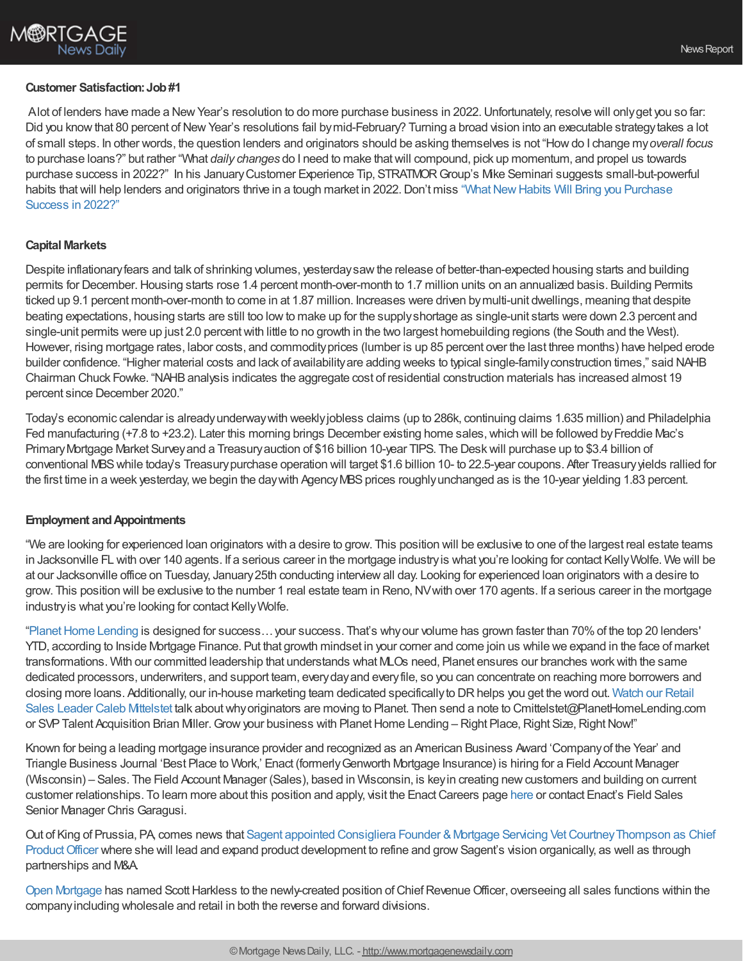## **Customer Satisfaction:Job#1**

Alot of lenders have made a New Year's resolution to do more purchase business in 2022. Unfortunately, resolve will only get you so far: Did you know that 80 percent of New Year's resolutions fail by mid-February? Turning a broad vision into an executable strategy takes a lot of small steps. In other words, the question lenders and originators should be asking themselves is not "Howdo I change my*overall focus* to purchase loans?" but rather "What *daily changes* do I need to make thatwill compound, pick up momentum, and propel us towards purchase success in 2022?" In his JanuaryCustomer Experience Tip, STRATMORGroup's Mike Seminari suggests small-but-powerful habits that will help lenders and originators thrive in a tough market in 2022. Don't miss "What New Habits Will Bring you Purchase Success in 2022?"

## **Capital Markets**

Despite inflationaryfears and talk of shrinking volumes, yesterdaysawthe release of better-than-expected housing starts and building permits for December.Housing starts rose 1.4 percent month-over-month to 1.7 million units on an annualized basis. Building Permits ticked up 9.1 percent month-over-month to come in at 1.87 million. Increases were driven bymulti-unit dwellings, meaning that despite beating expectations, housing starts are still too lowto make up for the supplyshortage as single-unit starts were down 2.3 percent and single-unit permits were up just 2.0 percent with little to no growth in the two largest homebuilding regions (the South and the West). However, rising mortgage rates, labor costs, and commodityprices (lumber is up 85 percent over the last three months) have helped erode builder confidence. "Higher material costs and lack of availabilityare adding weeks to typical single-familyconstruction times," said NAHB Chairman Chuck Fowke. "NAHBanalysis indicates the aggregate cost of residential construction materials has increased almost 19 percent since December 2020."

Today's economic calendar is alreadyunderwaywith weeklyjobless claims (up to 286k, continuing claims 1.635 million) and Philadelphia Fed manufacturing (+7.8 to +23.2). Later this morning brings December existing home sales, which will be followed by Freddie Mac's Primary Mortgage Market Survey and a Treasury auction of \$16 billion 10-year TIPS. The Desk will purchase up to \$3.4 billion of conventional MBSwhile today's Treasurypurchase operation will target \$1.6 billion 10- to 22.5-year coupons. After Treasuryyields rallied for the first time in a week yesterday, we begin the day with Agency MBS prices roughly unchanged as is the 10-year yielding 1.83 percent.

## **Employment and Appointments**

"We are looking for experienced loan originators with a desire to grow. This position will be exclusive to one of the largest real estate teams in Jacksonville FL with over 140 agents. If a serious career in the mortgage industryis what you're looking for contact KellyWolfe. We will be at our Jacksonville office on Tuesday, January25th conducting interviewall day. Looking for experienced loan originators with a desire to grow. This position will be exclusive to the number 1 real estate team in Reno,NVwith over 170 agents. If a serious career in the mortgage industryis what you're looking for contact KellyWolfe.

"Planet Home Lending is designed for success... your success. That's why our volume has grown faster than 70% of the top 20 lenders' YTD, according to Inside Mortgage Finance. Put that growth mindset in your corner and come join us while we expand in the face of market transformations. With our committed leadership that understands what MLOs need, Planet ensures our branches workwith the same dedicated processors, underwriters, and support team, everydayand everyfile, so you can concentrate on reaching more borrowers and closing more loans. Additionally, our in-house marketing team dedicated specificallyto DRhelps you get the word out. Watch our Retail Sales Leader Caleb Mittelstet talk aboutwhyoriginators are moving to Planet. Then send a note to [Cmittelstet@PlanetHomeLending.co](https://planethomelending.com/landatplanet/?utm_source=rc&utm_medium=pub&utm_campaign=chrisman-2022-01-20-dr#volume)m or SVP Talent Acquisition Brian Miller. Grow your business with Planet Home Lending – Right Place, Right Size, Right Now!"

Known for being a leading mortgage insurance provider and recognized as an American Business Award 'Companyof the Year' and Triangle Business Journal 'Best Place to Work,' Enact (formerlyGenworth Mortgage Insurance) is hiring for a Field Account Manager (Wisconsin) – Sales. The Field Account Manager (Sales), based in Wisconsin, is keyin creating newcustomers and building on current customer relationships. To learn more about this position and apply, visit the Enact Careers page [here](https://gnw.wd1.myworkdayjobs.com/Enact_MI/job/Remote-Wisconsin/Field-Account-Manager_REQ-210459) or contact Enact's Field Sales Senior Manager Chris Garagusi.

Out of King of Prussia, PA, comes news that Sagent appointed Consigliera Founder & Mortgage Servicing Vet Courtney Thompson as Chief Product Officer where she will lead and expand product development to refine and grow Sagent's vision organically, as well as through partnerships and M&A.

Open [Mortgage](https://openmortgage.com/) has named Scott Harkless to the newly-created position of Chief Revenue Officer, overseeing all sales functions within the companyincluding wholesale and retail in both the reverse and forward divisions.